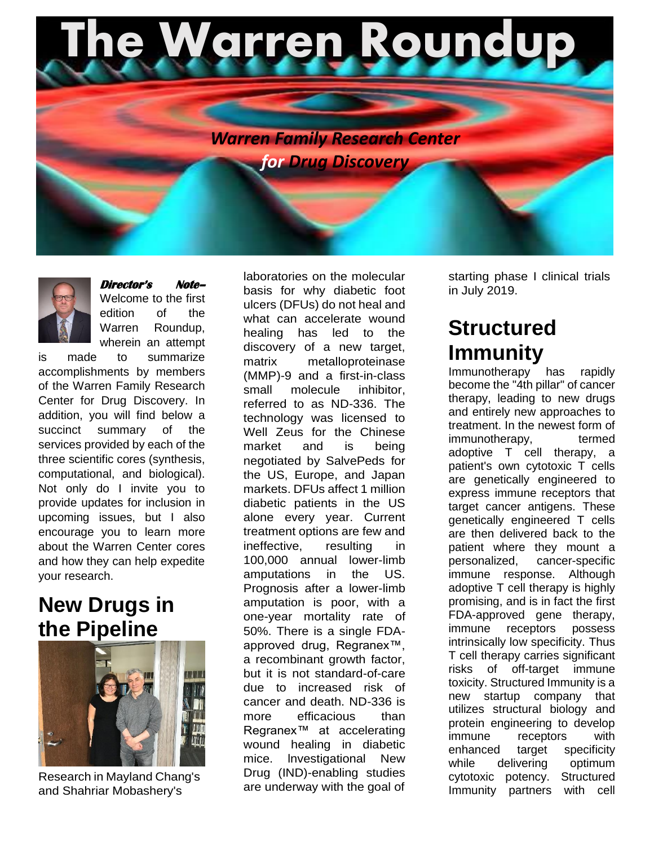



#### **Director's Note–**

Welcome to the first edition of the Warren Roundup, wherein an attempt

is made to summarize accomplishments by members of the Warren Family Research Center for Drug Discovery. In addition, you will find below a succinct summary of the services provided by each of the three scientific cores (synthesis, computational, and biological). Not only do I invite you to provide updates for inclusion in upcoming issues, but I also encourage you to learn more about the Warren Center cores and how they can help expedite your research.

#### **New Drugs in the Pipeline**



Research in Mayland Chang's and Shahriar Mobashery's

laboratories on the molecular basis for why diabetic foot ulcers (DFUs) do not heal and what can accelerate wound healing has led to the discovery of a new target, matrix metalloproteinase (MMP)-9 and a first-in-class small molecule inhibitor, referred to as ND-336. The technology was licensed to Well Zeus for the Chinese market and is being negotiated by SalvePeds for the US, Europe, and Japan markets. DFUs affect 1 million diabetic patients in the US alone every year. Current treatment options are few and ineffective, resulting in 100,000 annual lower-limb amputations in the US. Prognosis after a lower-limb amputation is poor, with a one-year mortality rate of 50%. There is a single FDAapproved drug, Regranex™, a recombinant growth factor, but it is not standard-of-care due to increased risk of cancer and death. ND-336 is more efficacious than Regranex™ at accelerating wound healing in diabetic mice. lnvestigational New Drug (IND)-enabling studies are underway with the goal of

starting phase I clinical trials in July 2019.

### **Structured Immunity**

Immunotherapy has rapidly become the "4th pillar" of cancer therapy, leading to new drugs and entirely new approaches to treatment. In the newest form of immunotherapy, termed adoptive T cell therapy, a patient's own cytotoxic T cells are genetically engineered to express immune receptors that target cancer antigens. These genetically engineered T cells are then delivered back to the patient where they mount a personalized, cancer-specific immune response. Although adoptive T cell therapy is highly promising, and is in fact the first FDA-approved gene therapy, immune receptors possess intrinsically low specificity. Thus T cell therapy carries significant risks of off-target immune toxicity. Structured Immunity is a new startup company that utilizes structural biology and protein engineering to develop immune receptors with enhanced target specificity while delivering optimum cytotoxic potency. Structured Immunity partners with cell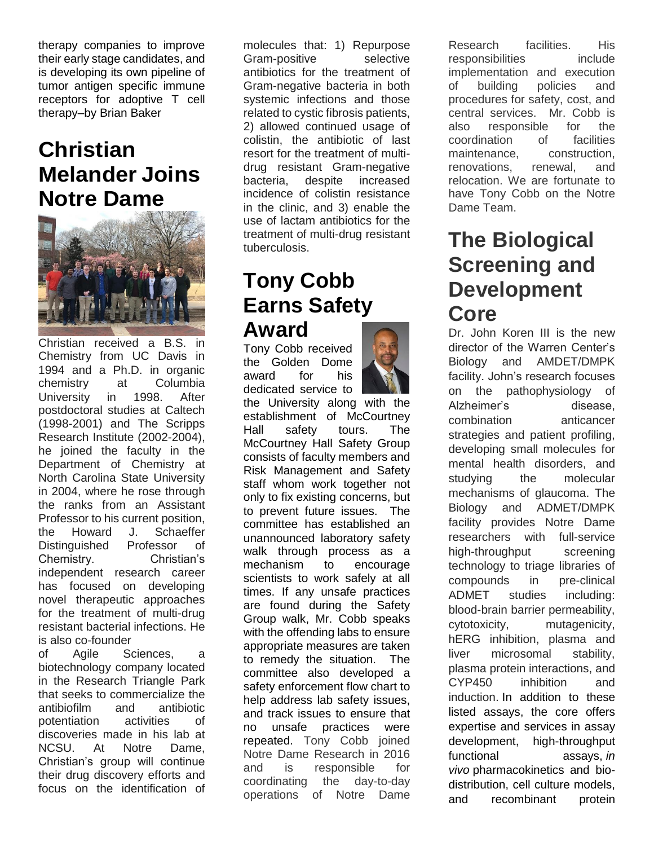therapy companies to improve their early stage candidates, and is developing its own pipeline of tumor antigen specific immune receptors for adoptive T cell therapy–by Brian Baker

## **Christian Melander Joins Notre Dame**



Christian received a B.S. in Chemistry from UC Davis in 1994 and a Ph.D. in organic chemistry at Columbia University in 1998. After postdoctoral studies at Caltech (1998-2001) and The Scripps Research Institute (2002-2004), he joined the faculty in the Department of Chemistry at North Carolina State University in 2004, where he rose through the ranks from an Assistant Professor to his current position, the Howard J. Schaeffer Distinguished Professor of Chemistry. Christian's independent research career has focused on developing novel therapeutic approaches for the treatment of multi-drug resistant bacterial infections. He is also co-founder

of Agile Sciences, a biotechnology company located in the Research Triangle Park that seeks to commercialize the antibiofilm and antibiotic potentiation activities of discoveries made in his lab at NCSU. At Notre Dame, Christian's group will continue their drug discovery efforts and focus on the identification of

molecules that: 1) Repurpose Gram-positive selective antibiotics for the treatment of Gram-negative bacteria in both systemic infections and those related to cystic fibrosis patients, 2) allowed continued usage of colistin, the antibiotic of last resort for the treatment of multidrug resistant Gram-negative bacteria, despite increased incidence of colistin resistance in the clinic, and 3) enable the use of lactam antibiotics for the treatment of multi-drug resistant tuberculosis.

#### **Tony Cobb Earns Safety Award**

Tony Cobb received the Golden Dome award for his dedicated service to

the University along with the establishment of McCourtney Hall safety tours. The McCourtney Hall Safety Group consists of faculty members and Risk Management and Safety staff whom work together not only to fix existing concerns, but to prevent future issues. The committee has established an unannounced laboratory safety walk through process as a mechanism to encourage scientists to work safely at all times. If any unsafe practices are found during the Safety Group walk, Mr. Cobb speaks with the offending labs to ensure appropriate measures are taken to remedy the situation. The committee also developed a safety enforcement flow chart to help address lab safety issues, and track issues to ensure that no unsafe practices were repeated. Tony Cobb joined Notre Dame Research in 2016 and is responsible for coordinating the day-to-day operations of Notre Dame

Research facilities. His responsibilities include implementation and execution of building policies and procedures for safety, cost, and central services. Mr. Cobb is also responsible for the coordination of facilities maintenance, construction, renovations, renewal, and relocation. We are fortunate to have Tony Cobb on the Notre Dame Team.

## **The Biological Screening and Development Core**

Dr. John Koren III is the new director of the Warren Center's Biology and AMDET/DMPK facility. John's research focuses on the pathophysiology of Alzheimer's disease, combination anticancer strategies and patient profiling, developing small molecules for mental health disorders, and studying the molecular mechanisms of glaucoma. The Biology and ADMET/DMPK facility provides Notre Dame researchers with full-service high-throughput screening technology to triage libraries of compounds in pre-clinical ADMET studies including: blood-brain barrier permeability, cytotoxicity, mutagenicity, hERG inhibition, plasma and liver microsomal stability, plasma protein interactions, and CYP450 inhibition and induction. In addition to these listed assays, the core offers expertise and services in assay development, high-throughput functional assays, *in vivo* pharmacokinetics and biodistribution, cell culture models, and recombinant protein

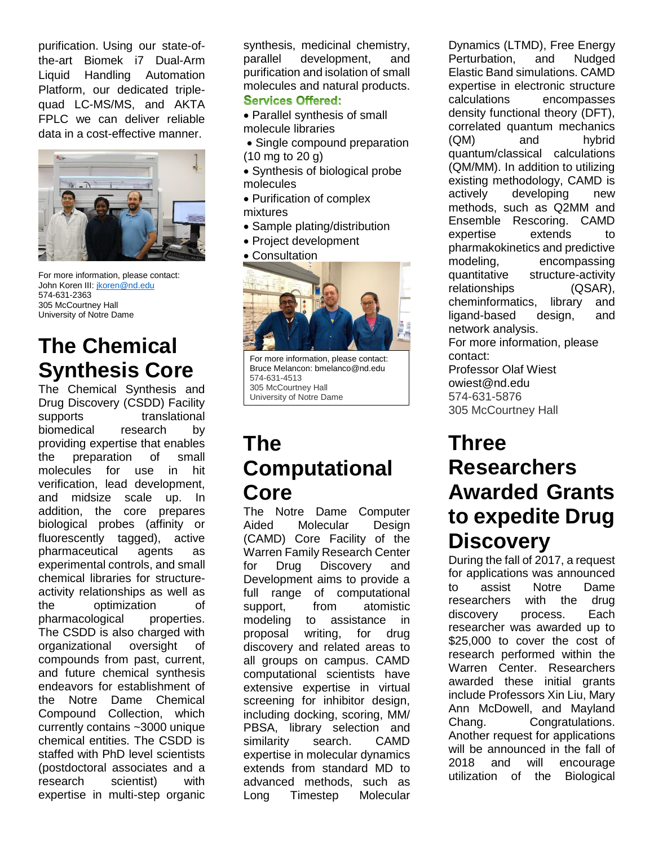purification. Using our state-ofthe-art Biomek i7 Dual-Arm Liquid Handling Automation Platform, our dedicated triplequad LC-MS/MS, and AKTA FPLC we can deliver reliable data in a cost-effective manner.



For more information, please contact: John Koren III[: jkoren@nd.edu](mailto:jkoren@nd.edu) 574-631-2363 305 McCourtney Hall University of Notre Dame

# **The Chemical Synthesis Core**

The Chemical Synthesis and Drug Discovery (CSDD) Facility supports translational biomedical research by providing expertise that enables the preparation of small molecules for use in hit verification, lead development, and midsize scale up. In addition, the core prepares biological probes (affinity or fluorescently tagged), active pharmaceutical agents as experimental controls, and small chemical libraries for structureactivity relationships as well as the optimization of pharmacological properties. The CSDD is also charged with organizational oversight of compounds from past, current, and future chemical synthesis endeavors for establishment of the Notre Dame Chemical Compound Collection, which currently contains ~3000 unique chemical entities. The CSDD is staffed with PhD level scientists (postdoctoral associates and a research scientist) with expertise in multi-step organic

synthesis, medicinal chemistry, parallel development, and purification and isolation of small molecules and natural products. **Services Offered:** 

- Parallel synthesis of small molecule libraries
- Single compound preparation (10 mg to 20 g)
- Synthesis of biological probe molecules
- Purification of complex mixtures
- Sample plating/distribution
- Project development
- Consultation



Bruce Melancon: bmelanco@nd.edu 574-631-4513 305 McCourtney Hall University of Notre Dame Notre Dame, IN 46556 USA

# **The Computational Core**

The Notre Dame Computer Aided Molecular Design (CAMD) Core Facility of the Warren Family Research Center for Drug Discovery and Development aims to provide a full range of computational support, from atomistic modeling to assistance in proposal writing, for drug discovery and related areas to all groups on campus. CAMD computational scientists have extensive expertise in virtual screening for inhibitor design, including docking, scoring, MM/ PBSA, library selection and similarity search. CAMD expertise in molecular dynamics extends from standard MD to advanced methods, such as Long Timestep Molecular For the internation, lease contact:<br>
Ence Malacon: breaking Hall<br>
Dinversity of Nico and ST4-6376<br>
University of Nico Dinne Biological<br>
Dinversity of Nico Dinne Computer<br> **Three Computational Researchers**<br> **Computational R** 

Dynamics (LTMD), Free Energy Perturbation, and Nudged Elastic Band simulations. CAMD expertise in electronic structure calculations encompasses density functional theory (DFT), correlated quantum mechanics (QM) and hybrid quantum/classical calculations (QM/MM). In addition to utilizing existing methodology, CAMD is actively developing new methods, such as Q2MM and Ensemble Rescoring. CAMD expertise extends to pharmakokinetics and predictive modeling, encompassing quantitative structure-activity relationships (QSAR), cheminformatics, library and ligand-based design, and network analysis. For more information, please contact: Professor Olaf Wiest owiest@nd.edu 574-631-5876 305 McCourtney Hall

## **Three Researchers Awarded Grants to expedite Drug Discovery**

During the fall of 2017, a request for applications was announced to assist Notre Dame researchers with the drug discovery process. Each researcher was awarded up to \$25,000 to cover the cost of research performed within the Warren Center. Researchers awarded these initial grants include Professors Xin Liu, Mary Ann McDowell, and Mayland Chang. Congratulations. Another request for applications will be announced in the fall of 2018 and will encourage